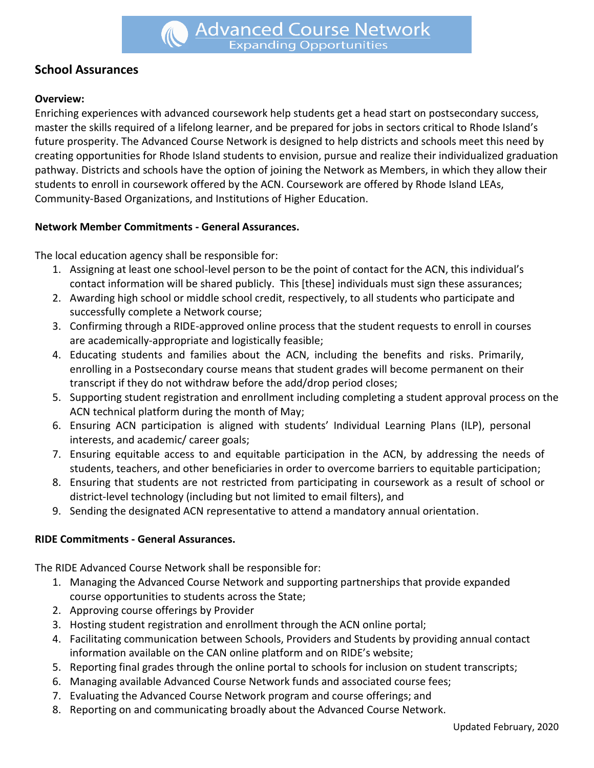# **School Assurances**

### **Overview:**

Enriching experiences with advanced coursework help students get a head start on postsecondary success, master the skills required of a lifelong learner, and be prepared for jobs in sectors critical to Rhode Island's future prosperity. The Advanced Course Network is designed to help districts and schools meet this need by creating opportunities for Rhode Island students to envision, pursue and realize their individualized graduation pathway. Districts and schools have the option of joining the Network as Members, in which they allow their students to enroll in coursework offered by the ACN. Coursework are offered by Rhode Island LEAs, Community-Based Organizations, and Institutions of Higher Education.

#### **Network Member Commitments - General Assurances.**

The local education agency shall be responsible for:

- 1. Assigning at least one school-level person to be the point of contact for the ACN, this individual's contact information will be shared publicly. This [these] individuals must sign these assurances;
- 2. Awarding high school or middle school credit, respectively, to all students who participate and successfully complete a Network course;
- 3. Confirming through a RIDE-approved online process that the student requests to enroll in courses are academically-appropriate and logistically feasible;
- 4. Educating students and families about the ACN, including the benefits and risks. Primarily, enrolling in a Postsecondary course means that student grades will become permanent on their transcript if they do not withdraw before the add/drop period closes;
- 5. Supporting student registration and enrollment including completing a student approval process on the ACN technical platform during the month of May;
- 6. Ensuring ACN participation is aligned with students' Individual Learning Plans (ILP), personal interests, and academic/ career goals;
- 7. Ensuring equitable access to and equitable participation in the ACN, by addressing the needs of students, teachers, and other beneficiaries in order to overcome barriers to equitable participation;
- 8. Ensuring that students are not restricted from participating in coursework as a result of school or district-level technology (including but not limited to email filters), and
- 9. Sending the designated ACN representative to attend a mandatory annual orientation.

#### **RIDE Commitments - General Assurances.**

The RIDE Advanced Course Network shall be responsible for:

- 1. Managing the Advanced Course Network and supporting partnerships that provide expanded course opportunities to students across the State;
- 2. Approving course offerings by Provider
- 3. Hosting student registration and enrollment through the ACN online portal;
- 4. Facilitating communication between Schools, Providers and Students by providing annual contact information available on the CAN online platform and on RIDE's website;
- 5. Reporting final grades through the online portal to schools for inclusion on student transcripts;
- 6. Managing available Advanced Course Network funds and associated course fees;
- 7. Evaluating the Advanced Course Network program and course offerings; and
- 8. Reporting on and communicating broadly about the Advanced Course Network.